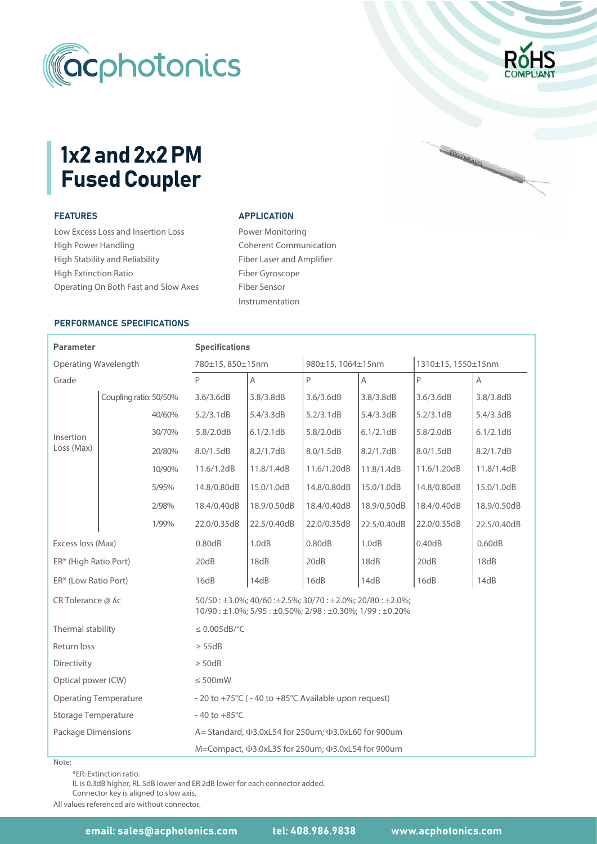

# 1x2 and 2x2 PM Fused Coupler

# FEATURES

Low Excess Loss and Insertion Loss High Power Handling High Stability and Reliability High Extinction Ratio Operating On Both Fast and Slow Axes

#### **APPLICATION**

Power Monitoring Coherent Communication Fiber Laser and Amplifier Fiber Gyroscope Fiber Sensor Instrumentation

### PERFORMANCE SPECIFICATIONS

#### Parameter 11.6/1.2dB Operating Wavelength ER\* (Low Ratio Port) ER\* (High Ratio Port) - 20 to +75°C ( - 40 to +85°C Available upon request) 20dB Insertion Loss (Max)  $M =$ Compact,  $\Phi$ 3.0xL35 for 250um;  $\Phi$ 3.0xL54 for 900um Operating Temperature Storage Temperature Package Dimensions 18dB Specifications 5.8/2.0dB  $-40$  to  $+85^{\circ}$ C A 780±15, 850±15nm A= Standard,  $\Phi$ 3.0xL54 for 250um;  $\Phi$ 3.0xL60 for 900um 8.2/1.7dB 11.8/1.4dB 980±15, 1064±15nm Grade P 5.2/3.1dB 5.4/3.3dB 5.2/3.1dB 5.4/3.3dB 5.2/3.1dB 8.0/1.5dB 8.2/1.7dB 8.2/1.7dB 8.0/1.5dB 11.8/1.4dB 16dB Directivity 14dB | 16dB | 14dB | 16dB ≥ 50dB Excess loss (Max) 0.80dB 1310±15, 1550±15nm A |P |A |P 3.6/3.6dB 3.8/3.8dB 3.6/3.6dB 3.6/3.6dB 3.8/3.8dB 8.0/1.5dB 11.6/1.20dB 11.6/1.20dB 11.8/1.4dB 1.0dB 0.80dB 1.0dB 0.40dB 6.1/2.1dB 6.1/2.1dB 5.8/2.0dB 5.8/2.0dB 20dB 6.1/2.1dB 20dB Coupling ratio: 50/50% 3.6/3.6dB | 3.8/3.8dB | 3.6/3.6dB | 3.8/3.8dB | 3.6/3.6dB | 3.8/3.8dB 40/60% 5.4/3.3dB 30/70% 20/80% 10/90% 5/95% 14.8/0.80dB 15.0/1.0dB 14.8/0.80dB 14.8/0.80dB 15.0/1.0dB 15.0/1.0dB 2/98% 18.4/0.40dB 18.9/0.50dB 18.4/0.40dB 18.4/0.40dB 18.9/0.50dB 18.9/0.50dB 1/99% 22.0/0.35dB 22.5/0.40dB 22.0/0.35dB 22.0/0.35dB 22.5/0.40dB 22.5/0.40dB 0.60dB 18dB 20dB 18dB 14dB CR Tolerance  $\omega$  Ac 50/50 : ±3.0%; 40/60 : ±2.5%; 30/70 : ±2.0%; 20/80 : ±2.0%; 10/90 : ±1.0%; 5/95 : ±0.50%; 2/98 : ±0.30%; 1/99 : ±0.20% Thermal stability ≤ 0.005dB/°C Return loss ≥ 55dB Optical power (CW)  $\leq 500$ mW

Note:

\*ER: Extinction ratio.

IL is 0.3dB higher, RL 5dB lower and ER 2dB lower for each connector added.

Connector key is aligned to slow axis.

All values referenced are without connector.